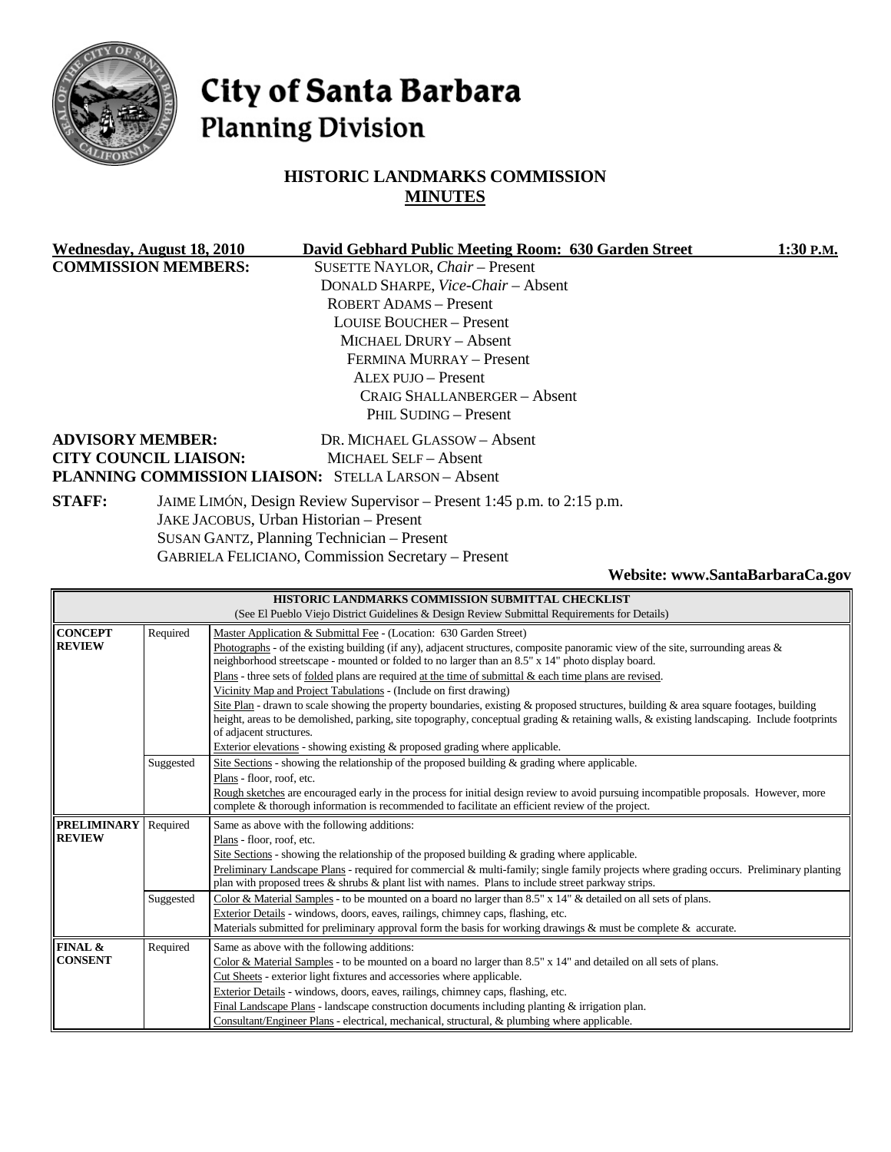

# City of Santa Barbara **Planning Division**

# **HISTORIC LANDMARKS COMMISSION MINUTES**

| Wednesday, August 18, 2010                                                              | David Gebhard Public Meeting Room: 630 Garden Street       | 1:30 P.M. |
|-----------------------------------------------------------------------------------------|------------------------------------------------------------|-----------|
| <b>COMMISSION MEMBERS:</b>                                                              | SUSETTE NAYLOR, Chair - Present                            |           |
|                                                                                         | DONALD SHARPE, <i>Vice-Chair</i> – Absent                  |           |
|                                                                                         | <b>ROBERT ADAMS - Present</b>                              |           |
|                                                                                         | <b>LOUISE BOUCHER – Present</b>                            |           |
|                                                                                         | MICHAEL DRURY - Absent                                     |           |
|                                                                                         | FERMINA MURRAY - Present                                   |           |
|                                                                                         | <b>ALEX PUJO - Present</b>                                 |           |
|                                                                                         | CRAIG SHALLANBERGER - Absent                               |           |
|                                                                                         | PHIL SUDING – Present                                      |           |
| <b>ADVISORY MEMBER:</b>                                                                 | DR. MICHAEL GLASSOW - Absent                               |           |
| <b>CITY COUNCIL LIAISON:</b>                                                            | MICHAEL SELF - Absent                                      |           |
|                                                                                         | <b>PLANNING COMMISSION LIAISON: STELLA LARSON - Absent</b> |           |
| <b>STAFF:</b><br>JAIME LIMÓN, Design Review Supervisor – Present 1:45 p.m. to 2:15 p.m. |                                                            |           |
|                                                                                         | JAKE JACOBUS, Urban Historian - Present                    |           |
|                                                                                         | SUSAN GANTZ, Planning Technician - Present                 |           |
|                                                                                         | <b>GABRIELA FELICIANO, Commission Secretary – Present</b>  |           |

### **Website: www.SantaBarbaraCa.gov**

| HISTORIC LANDMARKS COMMISSION SUBMITTAL CHECKLIST                                                        |           |                                                                                                                                            |  |  |
|----------------------------------------------------------------------------------------------------------|-----------|--------------------------------------------------------------------------------------------------------------------------------------------|--|--|
| (See El Pueblo Viejo District Guidelines & Design Review Submittal Requirements for Details)             |           |                                                                                                                                            |  |  |
| <b>CONCEPT</b>                                                                                           | Required  | Master Application & Submittal Fee - (Location: 630 Garden Street)                                                                         |  |  |
| <b>REVIEW</b>                                                                                            |           | Photographs - of the existing building (if any), adjacent structures, composite panoramic view of the site, surrounding areas &            |  |  |
|                                                                                                          |           | neighborhood streetscape - mounted or folded to no larger than an 8.5" x 14" photo display board.                                          |  |  |
|                                                                                                          |           | Plans - three sets of folded plans are required at the time of submittal & each time plans are revised.                                    |  |  |
|                                                                                                          |           | Vicinity Map and Project Tabulations - (Include on first drawing)                                                                          |  |  |
|                                                                                                          |           | Site Plan - drawn to scale showing the property boundaries, existing & proposed structures, building & area square footages, building      |  |  |
|                                                                                                          |           | height, areas to be demolished, parking, site topography, conceptual grading & retaining walls, & existing landscaping. Include footprints |  |  |
|                                                                                                          |           | of adjacent structures.                                                                                                                    |  |  |
|                                                                                                          |           | Exterior elevations - showing existing & proposed grading where applicable.                                                                |  |  |
|                                                                                                          | Suggested | Site Sections - showing the relationship of the proposed building & grading where applicable.                                              |  |  |
|                                                                                                          |           | Plans - floor, roof, etc.                                                                                                                  |  |  |
|                                                                                                          |           | Rough sketches are encouraged early in the process for initial design review to avoid pursuing incompatible proposals. However, more       |  |  |
|                                                                                                          |           | complete & thorough information is recommended to facilitate an efficient review of the project.                                           |  |  |
| <b>PRELIMINARY</b>                                                                                       | Required  | Same as above with the following additions:                                                                                                |  |  |
| <b>REVIEW</b>                                                                                            |           | Plans - floor, roof, etc.                                                                                                                  |  |  |
| Site Sections - showing the relationship of the proposed building $\&$ grading where applicable.         |           |                                                                                                                                            |  |  |
|                                                                                                          |           | Preliminary Landscape Plans - required for commercial & multi-family; single family projects where grading occurs. Preliminary planting    |  |  |
| plan with proposed trees $\&$ shrubs $\&$ plant list with names. Plans to include street parkway strips. |           |                                                                                                                                            |  |  |
|                                                                                                          | Suggested | Color & Material Samples - to be mounted on a board no larger than 8.5" x 14" & detailed on all sets of plans.                             |  |  |
|                                                                                                          |           | Exterior Details - windows, doors, eaves, railings, chimney caps, flashing, etc.                                                           |  |  |
|                                                                                                          |           | Materials submitted for preliminary approval form the basis for working drawings $\&$ must be complete $\&$ accurate.                      |  |  |
| FINAL &                                                                                                  | Required  | Same as above with the following additions:                                                                                                |  |  |
| <b>CONSENT</b>                                                                                           |           | Color & Material Samples - to be mounted on a board no larger than $8.5" \times 14"$ and detailed on all sets of plans.                    |  |  |
|                                                                                                          |           | Cut Sheets - exterior light fixtures and accessories where applicable.                                                                     |  |  |
|                                                                                                          |           | Exterior Details - windows, doors, eaves, railings, chimney caps, flashing, etc.                                                           |  |  |
|                                                                                                          |           | Final Landscape Plans - landscape construction documents including planting $\&$ irrigation plan.                                          |  |  |
|                                                                                                          |           | Consultant/Engineer Plans - electrical, mechanical, structural, & plumbing where applicable.                                               |  |  |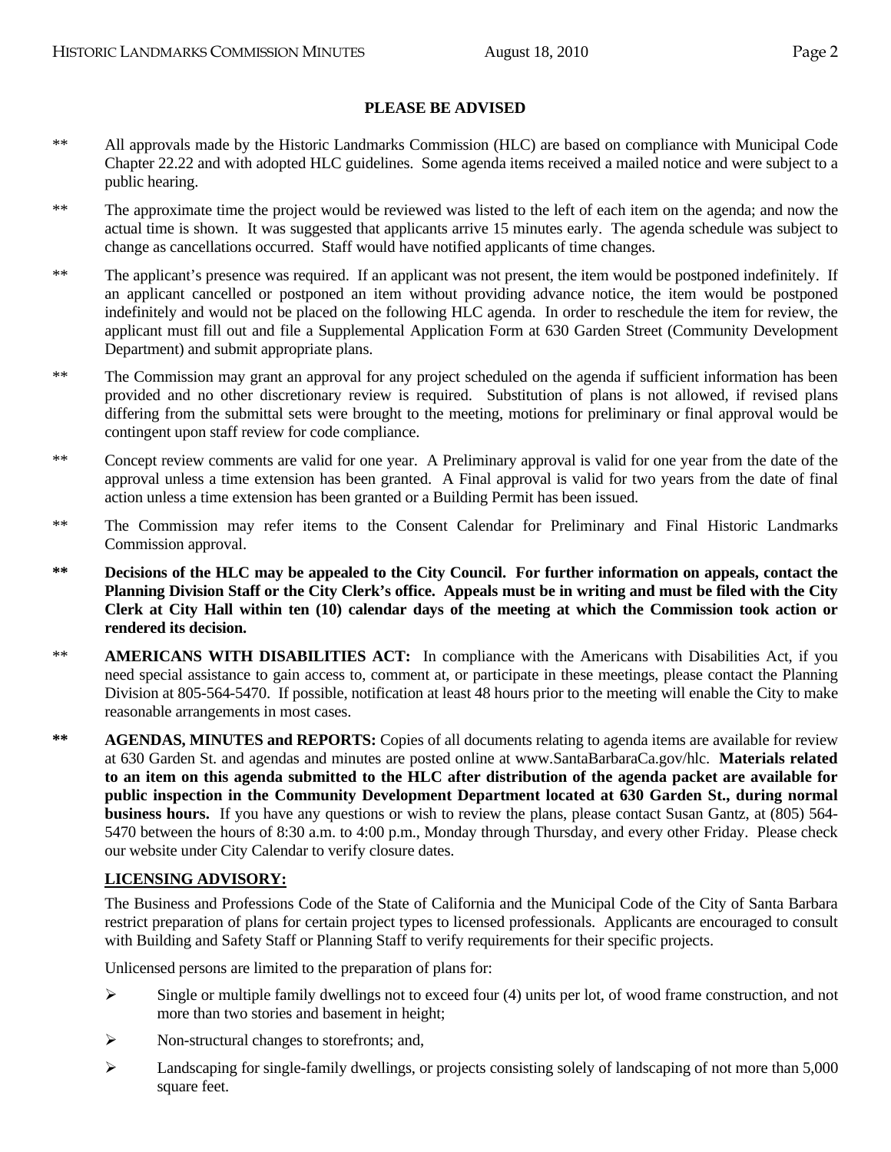### **PLEASE BE ADVISED**

- \*\* All approvals made by the Historic Landmarks Commission (HLC) are based on compliance with Municipal Code Chapter 22.22 and with adopted HLC guidelines. Some agenda items received a mailed notice and were subject to a public hearing.
- \*\* The approximate time the project would be reviewed was listed to the left of each item on the agenda; and now the actual time is shown. It was suggested that applicants arrive 15 minutes early. The agenda schedule was subject to change as cancellations occurred. Staff would have notified applicants of time changes.
- \*\* The applicant's presence was required. If an applicant was not present, the item would be postponed indefinitely. If an applicant cancelled or postponed an item without providing advance notice, the item would be postponed indefinitely and would not be placed on the following HLC agenda. In order to reschedule the item for review, the applicant must fill out and file a Supplemental Application Form at 630 Garden Street (Community Development Department) and submit appropriate plans.
- \*\* The Commission may grant an approval for any project scheduled on the agenda if sufficient information has been provided and no other discretionary review is required. Substitution of plans is not allowed, if revised plans differing from the submittal sets were brought to the meeting, motions for preliminary or final approval would be contingent upon staff review for code compliance.
- \*\* Concept review comments are valid for one year. A Preliminary approval is valid for one year from the date of the approval unless a time extension has been granted. A Final approval is valid for two years from the date of final action unless a time extension has been granted or a Building Permit has been issued.
- \*\* The Commission may refer items to the Consent Calendar for Preliminary and Final Historic Landmarks Commission approval.
- **\*\* Decisions of the HLC may be appealed to the City Council. For further information on appeals, contact the Planning Division Staff or the City Clerk's office. Appeals must be in writing and must be filed with the City Clerk at City Hall within ten (10) calendar days of the meeting at which the Commission took action or rendered its decision.**
- \*\* **AMERICANS WITH DISABILITIES ACT:** In compliance with the Americans with Disabilities Act, if you need special assistance to gain access to, comment at, or participate in these meetings, please contact the Planning Division at 805-564-5470. If possible, notification at least 48 hours prior to the meeting will enable the City to make reasonable arrangements in most cases.
- **\*\* AGENDAS, MINUTES and REPORTS:** Copies of all documents relating to agenda items are available for review at 630 Garden St. and agendas and minutes are posted online at www.SantaBarbaraCa.gov/hlc. **Materials related to an item on this agenda submitted to the HLC after distribution of the agenda packet are available for public inspection in the Community Development Department located at 630 Garden St., during normal business hours.** If you have any questions or wish to review the plans, please contact Susan Gantz, at (805) 564- 5470 between the hours of 8:30 a.m. to 4:00 p.m., Monday through Thursday, and every other Friday. Please check our website under City Calendar to verify closure dates.

### **LICENSING ADVISORY:**

The Business and Professions Code of the State of California and the Municipal Code of the City of Santa Barbara restrict preparation of plans for certain project types to licensed professionals. Applicants are encouraged to consult with Building and Safety Staff or Planning Staff to verify requirements for their specific projects.

Unlicensed persons are limited to the preparation of plans for:

- $\triangleright$  Single or multiple family dwellings not to exceed four (4) units per lot, of wood frame construction, and not more than two stories and basement in height;
- ¾ Non-structural changes to storefronts; and,
- ¾ Landscaping for single-family dwellings, or projects consisting solely of landscaping of not more than 5,000 square feet.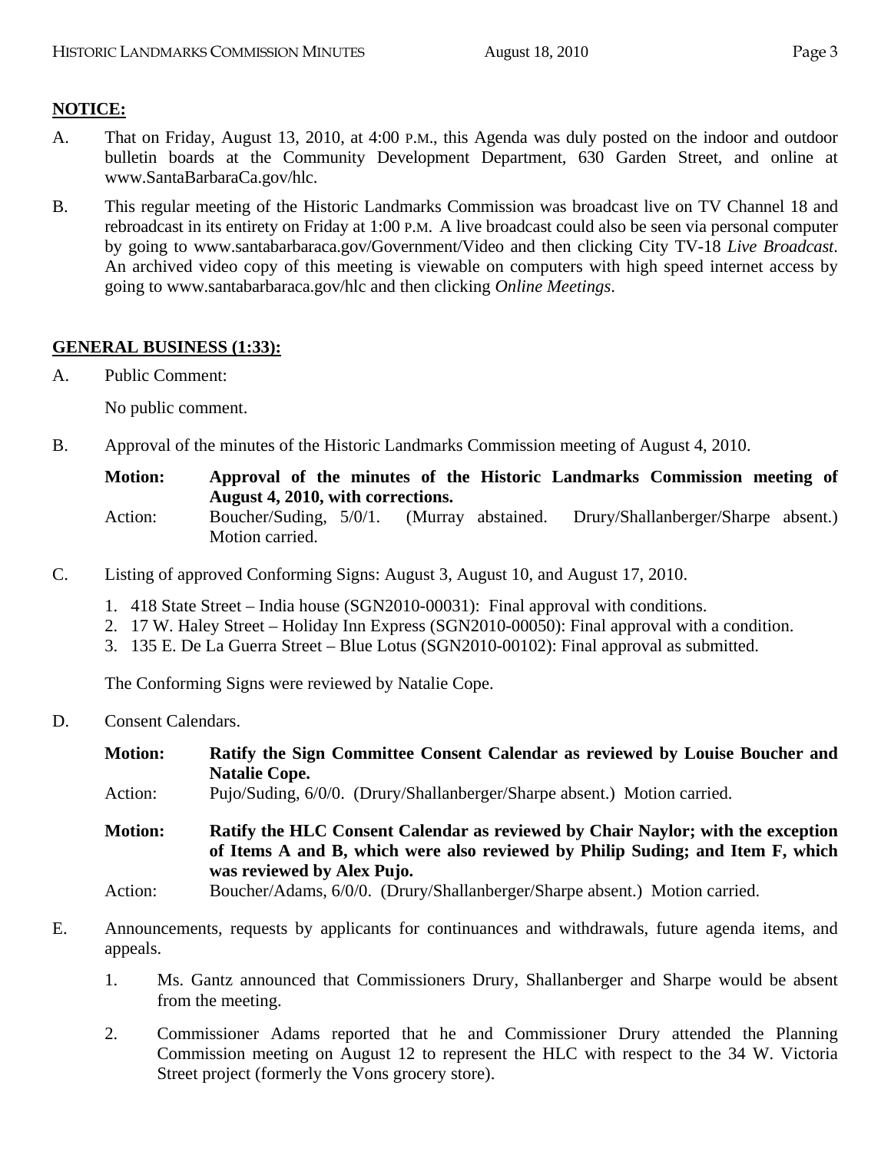# **NOTICE:**

- A. That on Friday, August 13, 2010, at 4:00 P.M., this Agenda was duly posted on the indoor and outdoor bulletin boards at the Community Development Department, 630 Garden Street, and online at www.SantaBarbaraCa.gov/hlc.
- B. This regular meeting of the Historic Landmarks Commission was broadcast live on TV Channel 18 and rebroadcast in its entirety on Friday at 1:00 P.M. A live broadcast could also be seen via personal computer by going to www.santabarbaraca.gov/Government/Video and then clicking City TV-18 *Live Broadcast*. An archived video copy of this meeting is viewable on computers with high speed internet access by going to www.santabarbaraca.gov/hlc and then clicking *Online Meetings*.

### **GENERAL BUSINESS (1:33):**

A. Public Comment:

No public comment.

B. Approval of the minutes of the Historic Landmarks Commission meeting of August 4, 2010.

**Motion: Approval of the minutes of the Historic Landmarks Commission meeting of August 4, 2010, with corrections.** 

- Action: Boucher/Suding, 5/0/1. (Murray abstained. Drury/Shallanberger/Sharpe absent.) Motion carried.
- C. Listing of approved Conforming Signs: August 3, August 10, and August 17, 2010.
	- 1. 418 State Street India house (SGN2010-00031): Final approval with conditions.
	- 2. 17 W. Haley Street Holiday Inn Express (SGN2010-00050): Final approval with a condition.
	- 3. 135 E. De La Guerra Street Blue Lotus (SGN2010-00102): Final approval as submitted.

The Conforming Signs were reviewed by Natalie Cope.

D. Consent Calendars.

| <b>Motion:</b> | Ratify the Sign Committee Consent Calendar as reviewed by Louise Boucher and<br><b>Natalie Cope.</b>                                                                                            |  |
|----------------|-------------------------------------------------------------------------------------------------------------------------------------------------------------------------------------------------|--|
| Action:        | Pujo/Suding, 6/0/0. (Drury/Shallanberger/Sharpe absent.) Motion carried.                                                                                                                        |  |
| <b>Motion:</b> | Ratify the HLC Consent Calendar as reviewed by Chair Naylor; with the exception<br>of Items A and B, which were also reviewed by Philip Suding; and Item F, which<br>was reviewed by Alex Pujo. |  |
| Action:        | Boucher/Adams, 6/0/0. (Drury/Shallanberger/Sharpe absent.) Motion carried.                                                                                                                      |  |

- E. Announcements, requests by applicants for continuances and withdrawals, future agenda items, and appeals.
	- 1. Ms. Gantz announced that Commissioners Drury, Shallanberger and Sharpe would be absent from the meeting.
	- 2. Commissioner Adams reported that he and Commissioner Drury attended the Planning Commission meeting on August 12 to represent the HLC with respect to the 34 W. Victoria Street project (formerly the Vons grocery store).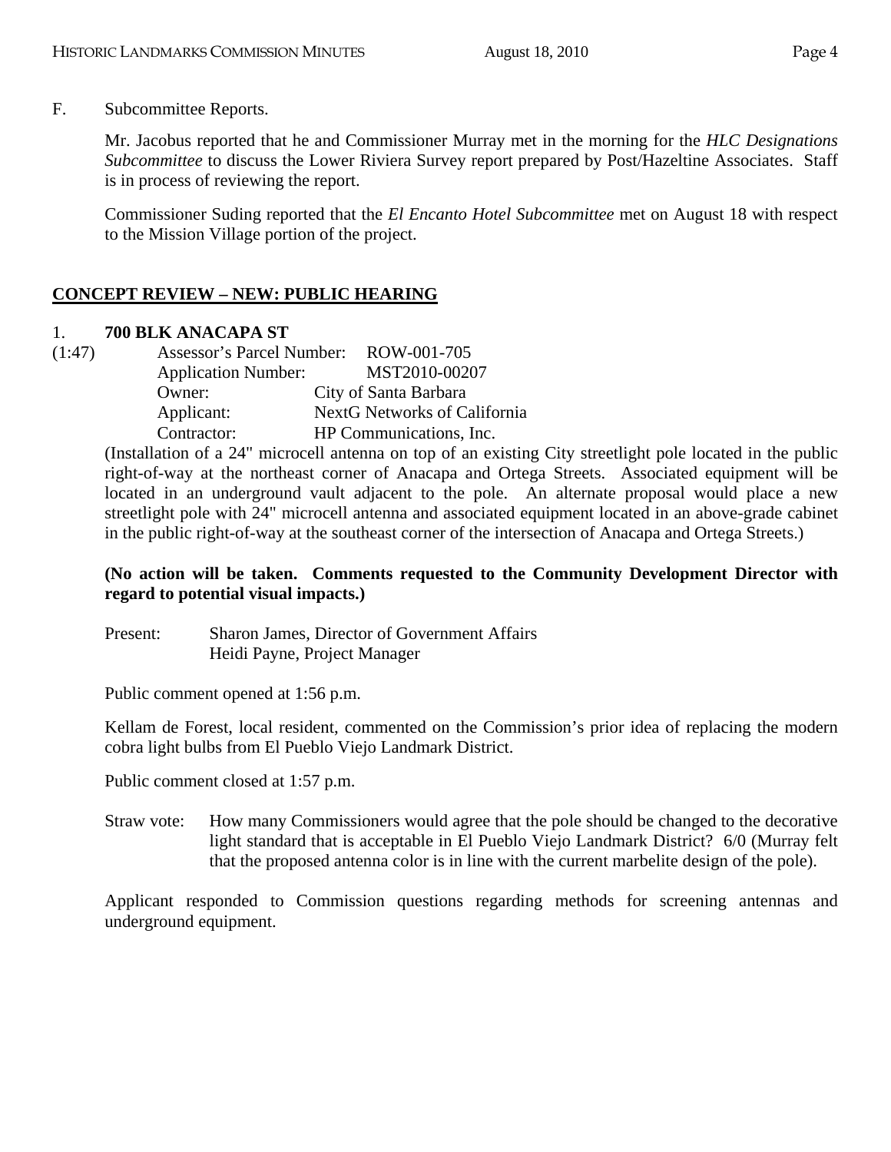F. Subcommittee Reports.

Mr. Jacobus reported that he and Commissioner Murray met in the morning for the *HLC Designations Subcommittee* to discuss the Lower Riviera Survey report prepared by Post/Hazeltine Associates. Staff is in process of reviewing the report.

Commissioner Suding reported that the *El Encanto Hotel Subcommittee* met on August 18 with respect to the Mission Village portion of the project.

# **CONCEPT REVIEW – NEW: PUBLIC HEARING**

### 1. **700 BLK ANACAPA ST**

(1:47) Assessor's Parcel Number: ROW-001-705 Application Number: MST2010-00207 Owner: City of Santa Barbara Applicant: NextG Networks of California Contractor: HP Communications, Inc.

(Installation of a 24" microcell antenna on top of an existing City streetlight pole located in the public right-of-way at the northeast corner of Anacapa and Ortega Streets. Associated equipment will be located in an underground vault adjacent to the pole. An alternate proposal would place a new streetlight pole with 24" microcell antenna and associated equipment located in an above-grade cabinet in the public right-of-way at the southeast corner of the intersection of Anacapa and Ortega Streets.)

### **(No action will be taken. Comments requested to the Community Development Director with regard to potential visual impacts.)**

Present: Sharon James, Director of Government Affairs Heidi Payne, Project Manager

Public comment opened at 1:56 p.m.

Kellam de Forest, local resident, commented on the Commission's prior idea of replacing the modern cobra light bulbs from El Pueblo Viejo Landmark District.

Public comment closed at 1:57 p.m.

Straw vote: How many Commissioners would agree that the pole should be changed to the decorative light standard that is acceptable in El Pueblo Viejo Landmark District? 6/0 (Murray felt that the proposed antenna color is in line with the current marbelite design of the pole).

Applicant responded to Commission questions regarding methods for screening antennas and underground equipment.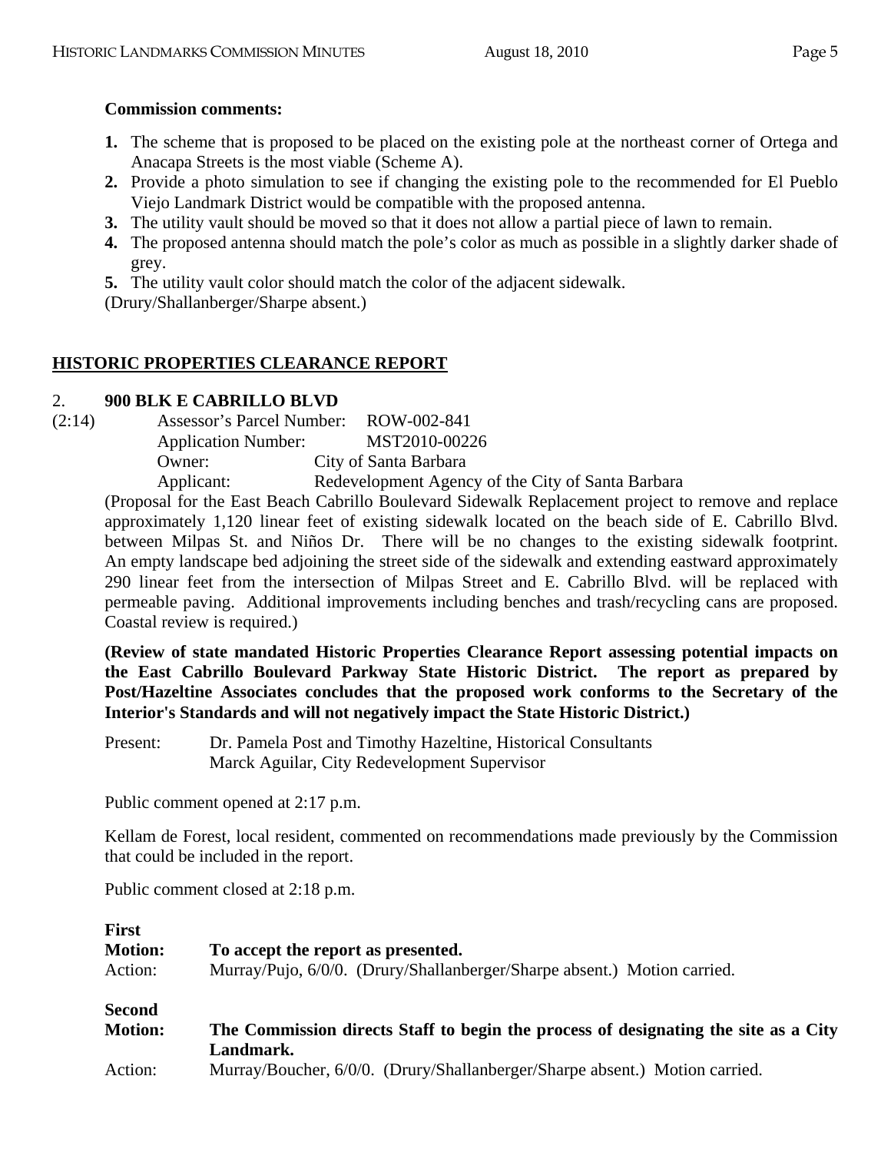### **Commission comments:**

- **1.** The scheme that is proposed to be placed on the existing pole at the northeast corner of Ortega and Anacapa Streets is the most viable (Scheme A).
- **2.** Provide a photo simulation to see if changing the existing pole to the recommended for El Pueblo Viejo Landmark District would be compatible with the proposed antenna.
- **3.** The utility vault should be moved so that it does not allow a partial piece of lawn to remain.
- **4.** The proposed antenna should match the pole's color as much as possible in a slightly darker shade of grey.
- **5.** The utility vault color should match the color of the adjacent sidewalk.

(Drury/Shallanberger/Sharpe absent.)

# **HISTORIC PROPERTIES CLEARANCE REPORT**

### 2. **900 BLK E CABRILLO BLVD**

| (2:14) | Assessor's Parcel Number:  | ROW-002-841                                       |
|--------|----------------------------|---------------------------------------------------|
|        | <b>Application Number:</b> | MST2010-00226                                     |
|        | $O$ wner:                  | City of Santa Barbara                             |
|        | Applicant:                 | Redevelopment Agency of the City of Santa Barbara |

(Proposal for the East Beach Cabrillo Boulevard Sidewalk Replacement project to remove and replace approximately 1,120 linear feet of existing sidewalk located on the beach side of E. Cabrillo Blvd. between Milpas St. and Niños Dr. There will be no changes to the existing sidewalk footprint. An empty landscape bed adjoining the street side of the sidewalk and extending eastward approximately 290 linear feet from the intersection of Milpas Street and E. Cabrillo Blvd. will be replaced with permeable paving. Additional improvements including benches and trash/recycling cans are proposed. Coastal review is required.)

**(Review of state mandated Historic Properties Clearance Report assessing potential impacts on the East Cabrillo Boulevard Parkway State Historic District. The report as prepared by Post/Hazeltine Associates concludes that the proposed work conforms to the Secretary of the Interior's Standards and will not negatively impact the State Historic District.)** 

Present: Dr. Pamela Post and Timothy Hazeltine, Historical Consultants Marck Aguilar, City Redevelopment Supervisor

Public comment opened at 2:17 p.m.

Kellam de Forest, local resident, commented on recommendations made previously by the Commission that could be included in the report.

Public comment closed at 2:18 p.m.

| <b>First</b>   |                                                                                     |
|----------------|-------------------------------------------------------------------------------------|
| <b>Motion:</b> | To accept the report as presented.                                                  |
| Action:        | Murray/Pujo, 6/0/0. (Drury/Shallanberger/Sharpe absent.) Motion carried.            |
| <b>Second</b>  |                                                                                     |
| <b>Motion:</b> | The Commission directs Staff to begin the process of designating the site as a City |
|                | Landmark.                                                                           |
| Action:        | Murray/Boucher, 6/0/0. (Drury/Shallanberger/Sharpe absent.) Motion carried.         |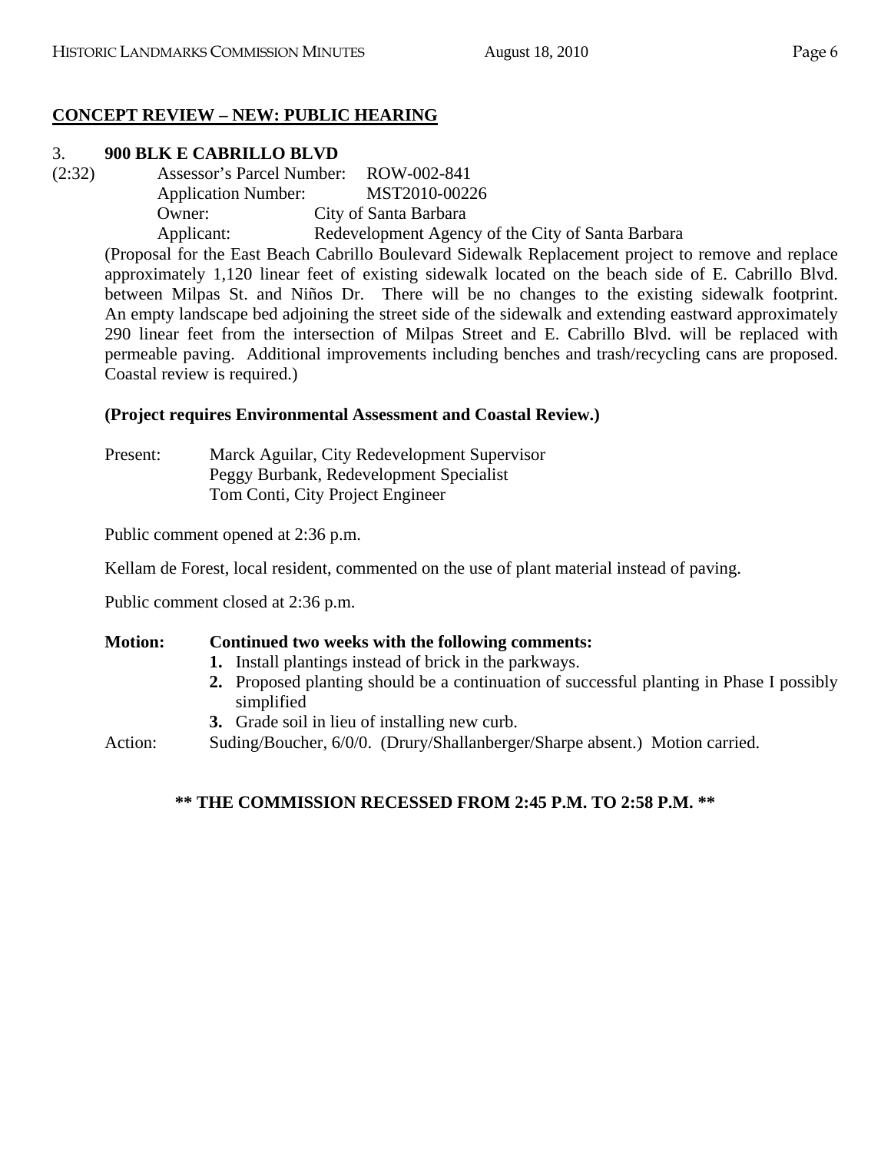## **CONCEPT REVIEW – NEW: PUBLIC HEARING**

### 3. **900 BLK E CABRILLO BLVD**

(2:32) Assessor's Parcel Number: ROW-002-841 Application Number: MST2010-00226 Owner: City of Santa Barbara Applicant: Redevelopment Agency of the City of Santa Barbara

(Proposal for the East Beach Cabrillo Boulevard Sidewalk Replacement project to remove and replace approximately 1,120 linear feet of existing sidewalk located on the beach side of E. Cabrillo Blvd. between Milpas St. and Niños Dr. There will be no changes to the existing sidewalk footprint. An empty landscape bed adjoining the street side of the sidewalk and extending eastward approximately 290 linear feet from the intersection of Milpas Street and E. Cabrillo Blvd. will be replaced with permeable paving. Additional improvements including benches and trash/recycling cans are proposed. Coastal review is required.)

### **(Project requires Environmental Assessment and Coastal Review.)**

Present: Marck Aguilar, City Redevelopment Supervisor Peggy Burbank, Redevelopment Specialist Tom Conti, City Project Engineer

Public comment opened at 2:36 p.m.

Kellam de Forest, local resident, commented on the use of plant material instead of paving.

Public comment closed at 2:36 p.m.

### **Motion: Continued two weeks with the following comments:**

- **1.** Install plantings instead of brick in the parkways.
- **2.** Proposed planting should be a continuation of successful planting in Phase I possibly simplified
- **3.** Grade soil in lieu of installing new curb.

Action: Suding/Boucher, 6/0/0. (Drury/Shallanberger/Sharpe absent.) Motion carried.

### **\*\* THE COMMISSION RECESSED FROM 2:45 P.M. TO 2:58 P.M. \*\***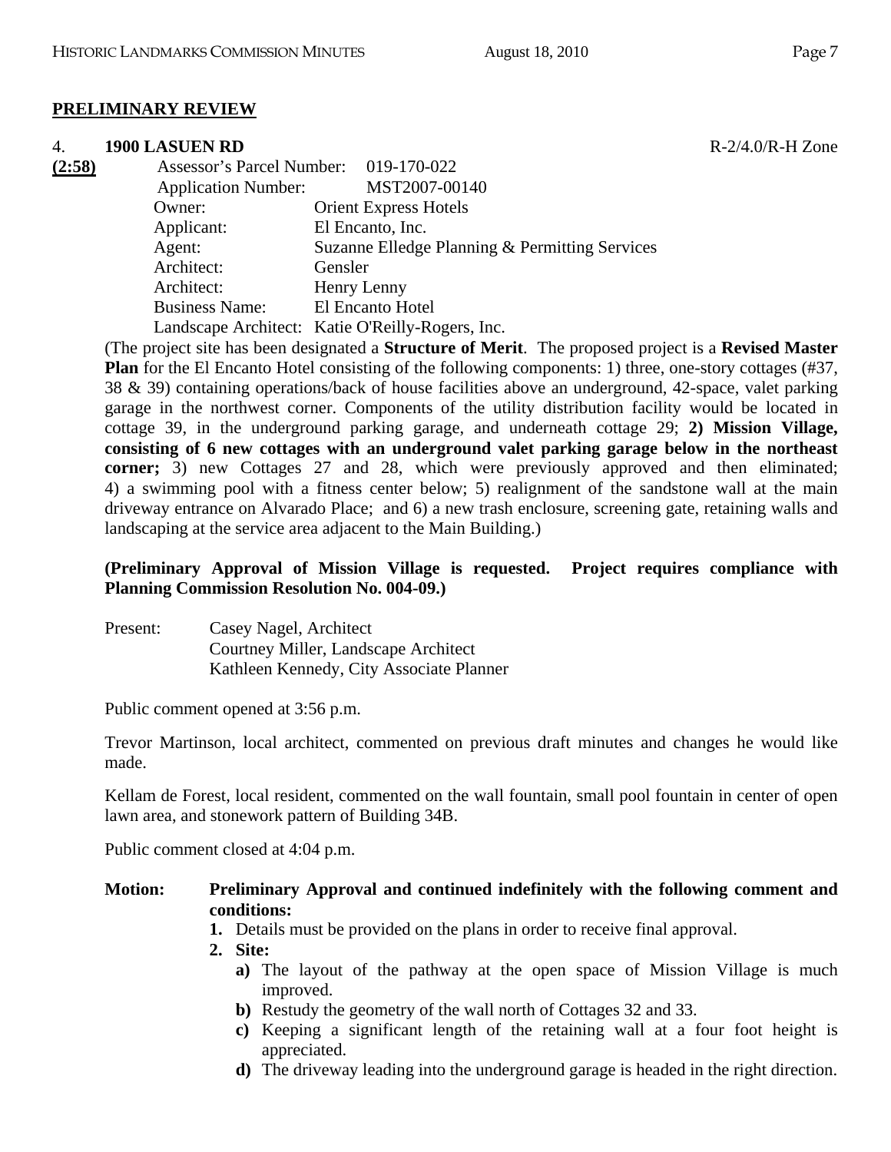### **PRELIMINARY REVIEW**

#### 4. **1900 LASUEN RD** R-2/4.0/R-H Zone

| (2:58) | Assessor's Parcel Number: 019-170-022 |                                                  |
|--------|---------------------------------------|--------------------------------------------------|
|        | <b>Application Number:</b>            | MST2007-00140                                    |
|        | Owner:                                | <b>Orient Express Hotels</b>                     |
|        | Applicant:                            | El Encanto, Inc.                                 |
|        | Agent:                                | Suzanne Elledge Planning & Permitting Services   |
|        | Architect:                            | Gensler                                          |
|        | Architect:                            | Henry Lenny                                      |
|        | <b>Business Name:</b>                 | El Encanto Hotel                                 |
|        |                                       | Landscape Architect: Katie O'Reilly-Rogers, Inc. |
|        |                                       |                                                  |

(The project site has been designated a **Structure of Merit**. The proposed project is a **Revised Master Plan** for the El Encanto Hotel consisting of the following components: 1) three, one-story cottages (#37, 38 & 39) containing operations/back of house facilities above an underground, 42-space, valet parking garage in the northwest corner. Components of the utility distribution facility would be located in cottage 39, in the underground parking garage, and underneath cottage 29; **2) Mission Village, consisting of 6 new cottages with an underground valet parking garage below in the northeast corner;** 3) new Cottages 27 and 28, which were previously approved and then eliminated; 4) a swimming pool with a fitness center below; 5) realignment of the sandstone wall at the main driveway entrance on Alvarado Place; and 6) a new trash enclosure, screening gate, retaining walls and landscaping at the service area adjacent to the Main Building.)

### **(Preliminary Approval of Mission Village is requested. Project requires compliance with Planning Commission Resolution No. 004-09.)**

| Present: | Casey Nagel, Architect                   |
|----------|------------------------------------------|
|          | Courtney Miller, Landscape Architect     |
|          | Kathleen Kennedy, City Associate Planner |

Public comment opened at 3:56 p.m.

Trevor Martinson, local architect, commented on previous draft minutes and changes he would like made.

Kellam de Forest, local resident, commented on the wall fountain, small pool fountain in center of open lawn area, and stonework pattern of Building 34B.

Public comment closed at 4:04 p.m.

### **Motion: Preliminary Approval and continued indefinitely with the following comment and conditions:**

- **1.** Details must be provided on the plans in order to receive final approval.
- **2. Site:** 
	- **a)** The layout of the pathway at the open space of Mission Village is much improved.
	- **b)** Restudy the geometry of the wall north of Cottages 32 and 33.
	- **c)** Keeping a significant length of the retaining wall at a four foot height is appreciated.
	- **d)** The driveway leading into the underground garage is headed in the right direction.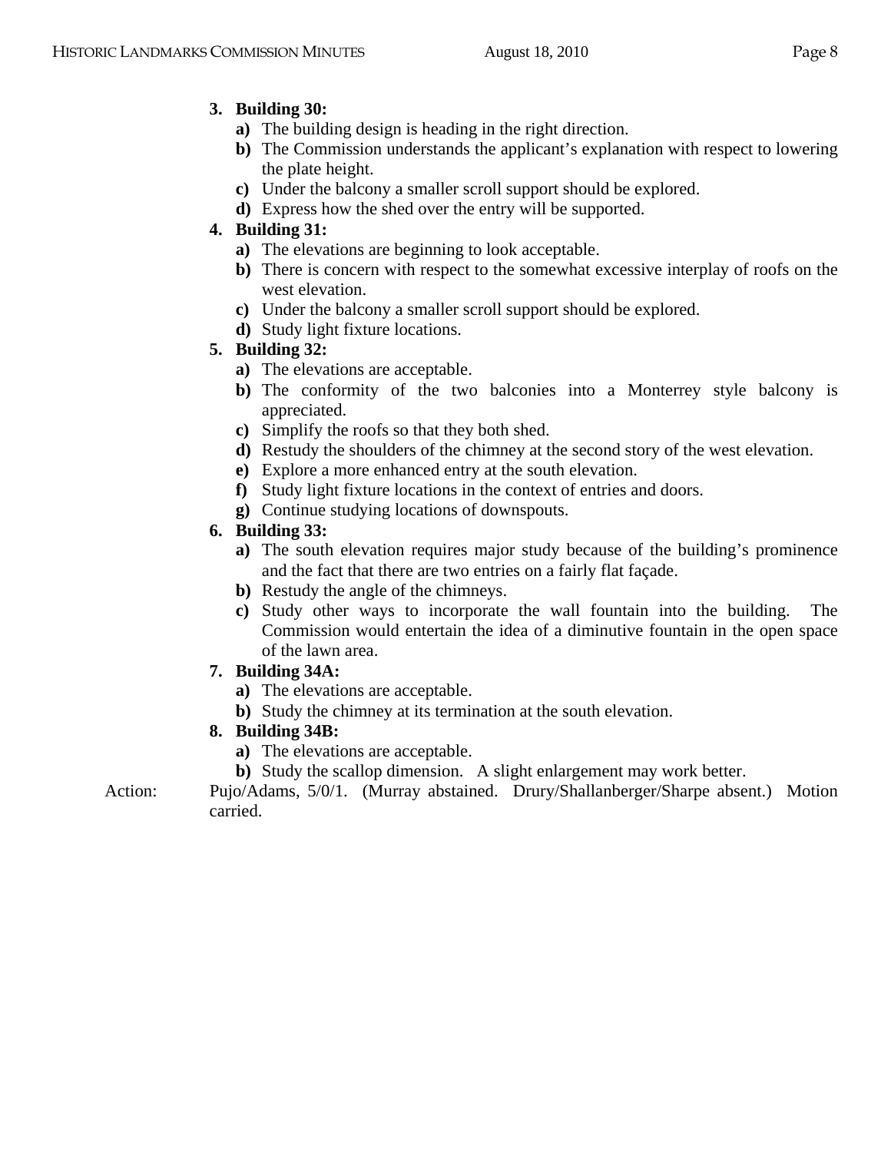# **3. Building 30:**

- **a)** The building design is heading in the right direction.
- **b)** The Commission understands the applicant's explanation with respect to lowering the plate height.
- **c)** Under the balcony a smaller scroll support should be explored.
- **d)** Express how the shed over the entry will be supported.

# **4. Building 31:**

- **a)** The elevations are beginning to look acceptable.
- **b)** There is concern with respect to the somewhat excessive interplay of roofs on the west elevation.
- **c)** Under the balcony a smaller scroll support should be explored.
- **d)** Study light fixture locations.
- **5. Building 32:** 
	- **a)** The elevations are acceptable.
	- **b)** The conformity of the two balconies into a Monterrey style balcony is appreciated.
	- **c)** Simplify the roofs so that they both shed.
	- **d)** Restudy the shoulders of the chimney at the second story of the west elevation.
	- **e)** Explore a more enhanced entry at the south elevation.
	- **f)** Study light fixture locations in the context of entries and doors.
	- **g)** Continue studying locations of downspouts.

# **6. Building 33:**

- **a)** The south elevation requires major study because of the building's prominence and the fact that there are two entries on a fairly flat façade.
- **b)** Restudy the angle of the chimneys.
- **c)** Study other ways to incorporate the wall fountain into the building. The Commission would entertain the idea of a diminutive fountain in the open space of the lawn area.

# **7. Building 34A:**

- **a)** The elevations are acceptable.
- **b)** Study the chimney at its termination at the south elevation.

# **8. Building 34B:**

- **a)** The elevations are acceptable.
- **b)** Study the scallop dimension. A slight enlargement may work better.

Action: Pujo/Adams, 5/0/1. (Murray abstained. Drury/Shallanberger/Sharpe absent.) Motion carried.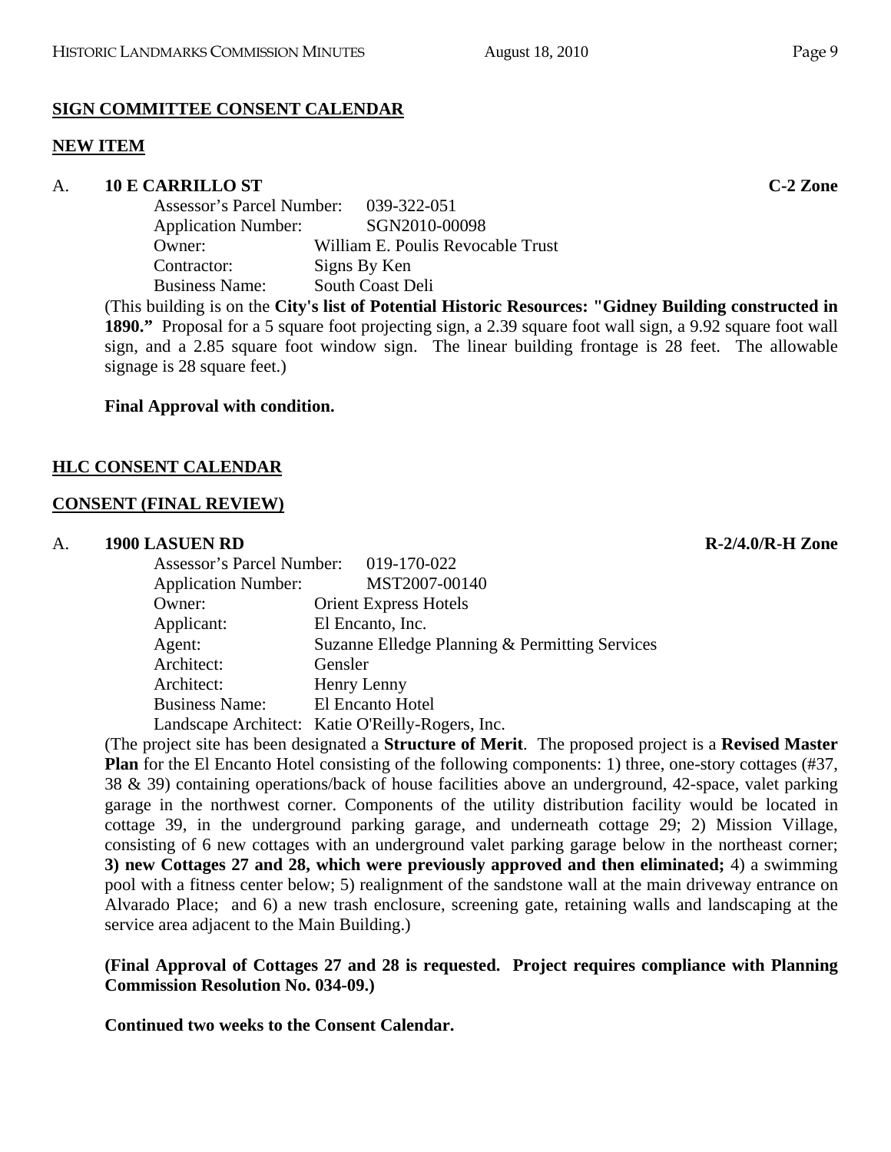# **SIGN COMMITTEE CONSENT CALENDAR**

# **NEW ITEM**

## A. **10 E CARRILLO ST C-2 Zone**

| Assessor's Parcel Number: 039-322-051       |
|---------------------------------------------|
| SGN2010-00098<br><b>Application Number:</b> |
| William E. Poulis Revocable Trust           |
| Signs By Ken                                |
| South Coast Deli                            |
|                                             |

(This building is on the **City's list of Potential Historic Resources: "Gidney Building constructed in 1890."** Proposal for a 5 square foot projecting sign, a 2.39 square foot wall sign, a 9.92 square foot wall sign, and a 2.85 square foot window sign. The linear building frontage is 28 feet. The allowable signage is 28 square feet.)

# **Final Approval with condition.**

## **HLC CONSENT CALENDAR**

### **CONSENT (FINAL REVIEW)**

### A. **1900 LASUEN RD R-2/4.0/R-H Zone**

| Assessor's Parcel Number: 019-170-022 |                                                  |
|---------------------------------------|--------------------------------------------------|
| <b>Application Number:</b>            | MST2007-00140                                    |
| Owner:                                | <b>Orient Express Hotels</b>                     |
| Applicant:                            | El Encanto, Inc.                                 |
| Agent:                                | Suzanne Elledge Planning & Permitting Services   |
| Architect:                            | Gensler                                          |
| Architect:                            | Henry Lenny                                      |
| <b>Business Name:</b>                 | El Encanto Hotel                                 |
|                                       | Landscape Architect: Katie O'Reilly-Rogers, Inc. |

(The project site has been designated a **Structure of Merit**. The proposed project is a **Revised Master Plan** for the El Encanto Hotel consisting of the following components: 1) three, one-story cottages (#37, 38 & 39) containing operations/back of house facilities above an underground, 42-space, valet parking garage in the northwest corner. Components of the utility distribution facility would be located in cottage 39, in the underground parking garage, and underneath cottage 29; 2) Mission Village, consisting of 6 new cottages with an underground valet parking garage below in the northeast corner; **3) new Cottages 27 and 28, which were previously approved and then eliminated;** 4) a swimming pool with a fitness center below; 5) realignment of the sandstone wall at the main driveway entrance on Alvarado Place; and 6) a new trash enclosure, screening gate, retaining walls and landscaping at the service area adjacent to the Main Building.)

## **(Final Approval of Cottages 27 and 28 is requested. Project requires compliance with Planning Commission Resolution No. 034-09.)**

**Continued two weeks to the Consent Calendar.**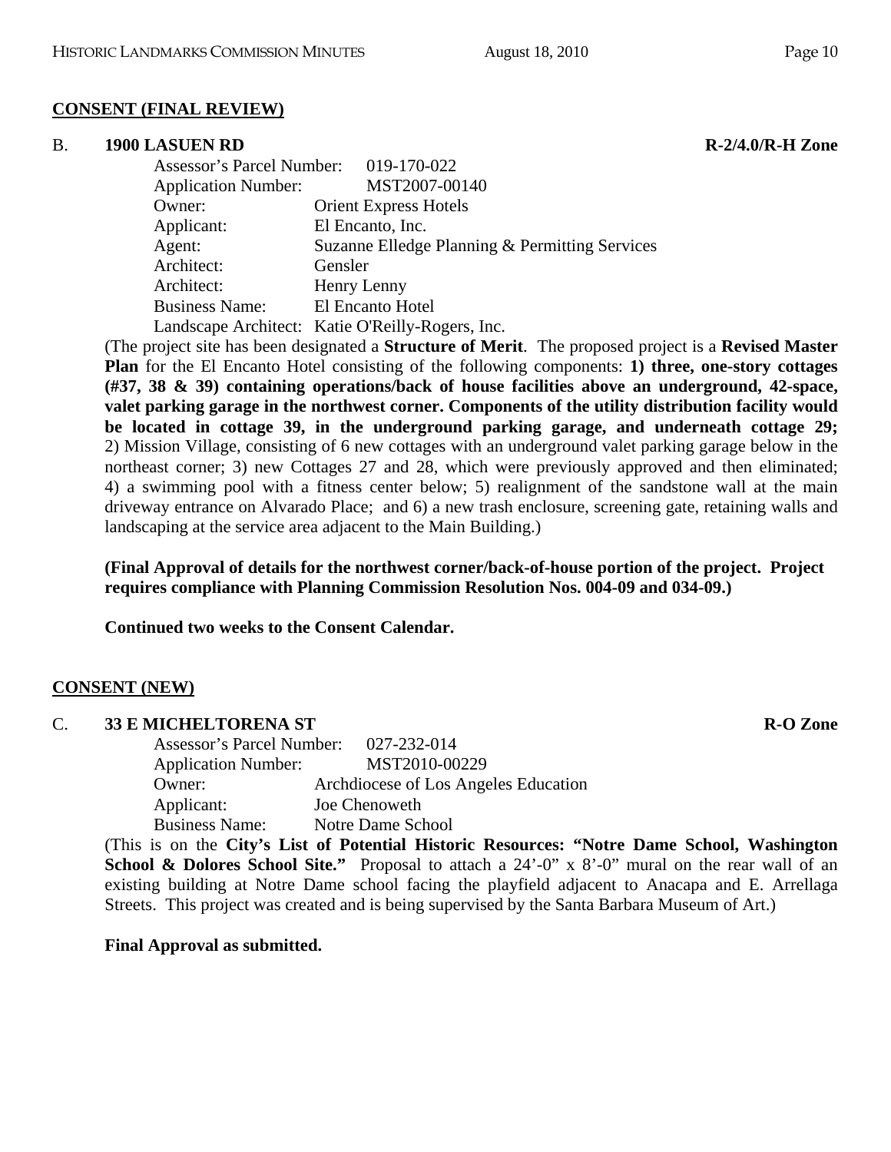### **CONSENT (FINAL REVIEW)**

#### B. **1900 LASUEN RD R-2/4.0/R-H Zone R-2/4.0/R-H Zone**

 Assessor's Parcel Number: 019-170-022 Application Number: MST2007-00140 Owner: Orient Express Hotels Applicant: El Encanto, Inc. Agent: Suzanne Elledge Planning & Permitting Services Architect: Gensler Architect: Henry Lenny Business Name: El Encanto Hotel Landscape Architect: Katie O'Reilly-Rogers, Inc.

(The project site has been designated a **Structure of Merit**. The proposed project is a **Revised Master Plan** for the El Encanto Hotel consisting of the following components: **1) three, one-story cottages (#37, 38 & 39) containing operations/back of house facilities above an underground, 42-space, valet parking garage in the northwest corner. Components of the utility distribution facility would be located in cottage 39, in the underground parking garage, and underneath cottage 29;** 2) Mission Village, consisting of 6 new cottages with an underground valet parking garage below in the northeast corner; 3) new Cottages 27 and 28, which were previously approved and then eliminated; 4) a swimming pool with a fitness center below; 5) realignment of the sandstone wall at the main driveway entrance on Alvarado Place; and 6) a new trash enclosure, screening gate, retaining walls and landscaping at the service area adjacent to the Main Building.)

**(Final Approval of details for the northwest corner/back-of-house portion of the project. Project requires compliance with Planning Commission Resolution Nos. 004-09 and 034-09.)** 

**Continued two weeks to the Consent Calendar.** 

### **CONSENT (NEW)**

| $C_{\cdot}$ | <b>33 E MICHELTORENA ST</b>           |                                      | <b>R-O Zone</b> |
|-------------|---------------------------------------|--------------------------------------|-----------------|
|             | Assessor's Parcel Number: 027-232-014 |                                      |                 |
|             | <b>Application Number:</b>            | MST2010-00229                        |                 |
|             | Owner:                                | Archdiocese of Los Angeles Education |                 |
|             | Applicant:                            | Joe Chenoweth                        |                 |
|             | <b>Business Name:</b>                 | Notre Dame School                    |                 |

(This is on the **City's List of Potential Historic Resources: "Notre Dame School, Washington School & Dolores School Site."** Proposal to attach a 24'-0" x 8'-0" mural on the rear wall of an existing building at Notre Dame school facing the playfield adjacent to Anacapa and E. Arrellaga Streets. This project was created and is being supervised by the Santa Barbara Museum of Art.)

### **Final Approval as submitted.**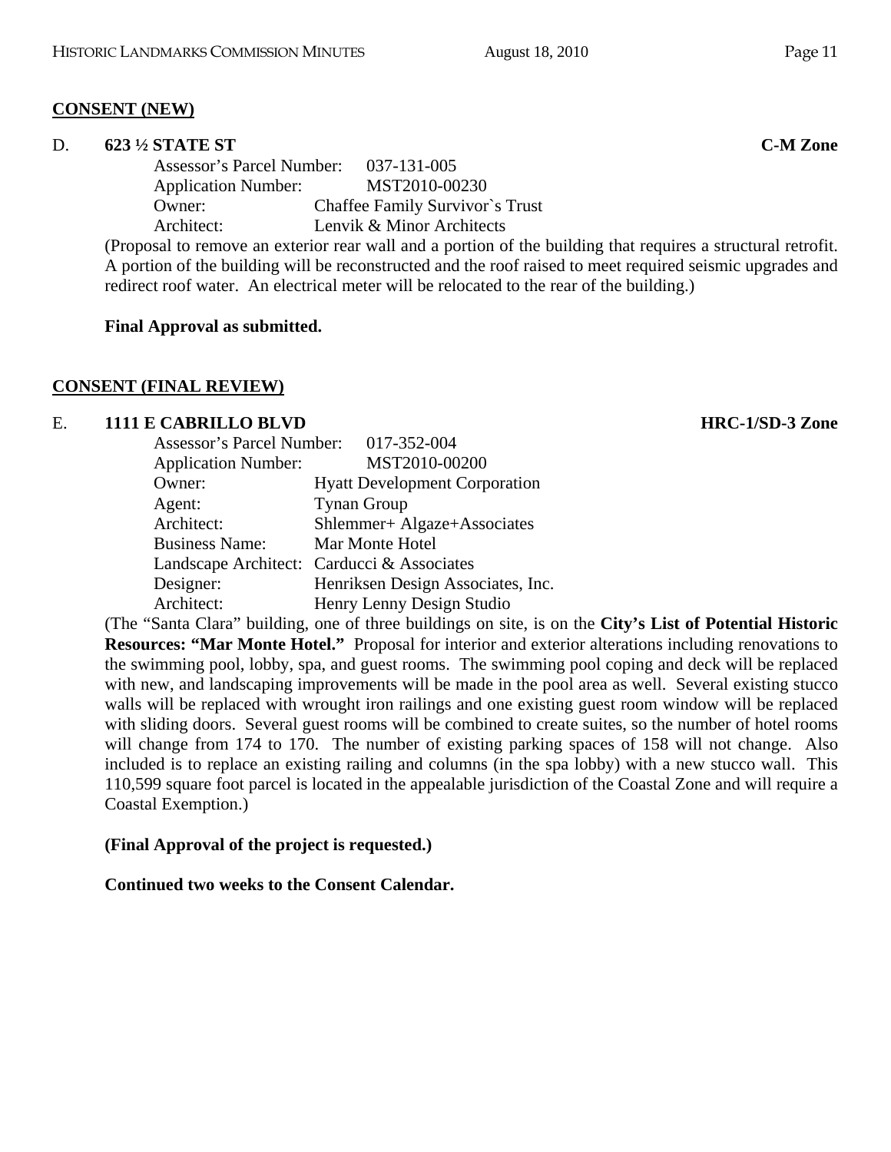### **CONSENT (NEW)**

### D. **623 ½ STATE ST C-M Zone**

 Assessor's Parcel Number: 037-131-005 Application Number: MST2010-00230 Owner: Chaffee Family Survivor`s Trust Architect: Lenvik & Minor Architects

(Proposal to remove an exterior rear wall and a portion of the building that requires a structural retrofit. A portion of the building will be reconstructed and the roof raised to meet required seismic upgrades and redirect roof water. An electrical meter will be relocated to the rear of the building.)

### **Final Approval as submitted.**

### **CONSENT (FINAL REVIEW)**

### E. **1111 E CABRILLO BLVD HRC-1/SD-3 Zone**

| Assessor's Parcel Number: 017-352-004 |                                            |
|---------------------------------------|--------------------------------------------|
| <b>Application Number:</b>            | MST2010-00200                              |
| Owner:                                | <b>Hyatt Development Corporation</b>       |
| Agent:                                | <b>Tynan Group</b>                         |
| Architect:                            | Shlemmer+ Algaze+Associates                |
| <b>Business Name:</b>                 | Mar Monte Hotel                            |
|                                       | Landscape Architect: Carducci & Associates |
| Designer:                             | Henriksen Design Associates, Inc.          |
| Architect:                            | Henry Lenny Design Studio                  |

(The "Santa Clara" building, one of three buildings on site, is on the **City's List of Potential Historic Resources: "Mar Monte Hotel."** Proposal for interior and exterior alterations including renovations to the swimming pool, lobby, spa, and guest rooms. The swimming pool coping and deck will be replaced with new, and landscaping improvements will be made in the pool area as well. Several existing stucco walls will be replaced with wrought iron railings and one existing guest room window will be replaced with sliding doors. Several guest rooms will be combined to create suites, so the number of hotel rooms will change from 174 to 170. The number of existing parking spaces of 158 will not change. Also included is to replace an existing railing and columns (in the spa lobby) with a new stucco wall. This 110,599 square foot parcel is located in the appealable jurisdiction of the Coastal Zone and will require a Coastal Exemption.)

### **(Final Approval of the project is requested.)**

### **Continued two weeks to the Consent Calendar.**